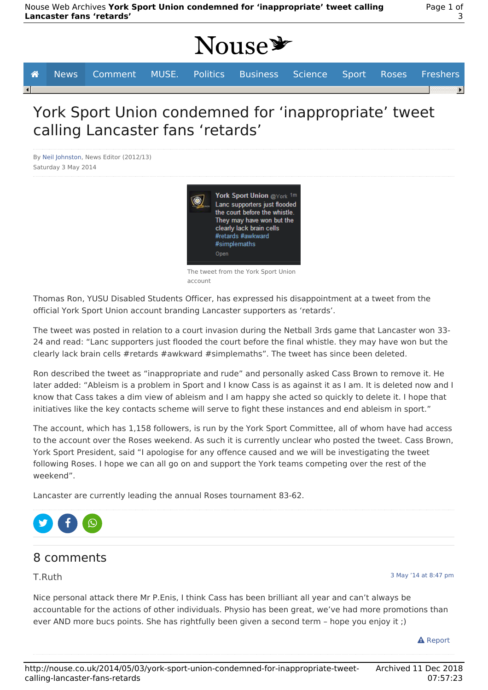|  | <b>A</b> News Comment MUSE. Politics Business Science Sport Roses Freshers |  |  |  |  |
|--|----------------------------------------------------------------------------|--|--|--|--|
|  |                                                                            |  |  |  |  |

# York Sport Union condemned for 'inappropriate' tweet calling Lancaster fans 'retards'

By Neil Johnston, News Editor (2012/13) Saturday 3 May 2014



The tweet from the York Sport Union account

Thomas Ron, YUSU Disabled Students Officer, has expressed his disappointment at a tweet from the official York Sport Union account branding Lancaster supporters as 'retards'.

The tweet was posted in relation to a court invasion during the Netball 3rds game that Lancaster won 33- 24 and read: "Lanc supporters just flooded the court before the final whistle. they may have won but the clearly lack brain cells #retards #awkward #simplemaths". The tweet has since been deleted.

Ron described the tweet as "inappropriate and rude" and personally asked Cass Brown to remove it. He later added: "Ableism is a problem in Sport and I know Cass is as against it as I am. It is deleted now and I know that Cass takes a dim view of ableism and I am happy she acted so quickly to delete it. I hope that initiatives like the key contacts scheme will serve to fight these instances and end ableism in sport."

The account, which has 1,158 followers, is run by the York Sport Committee, all of whom have had access to the account over the Roses weekend. As such it is currently unclear who posted the tweet. Cass Brown, York Sport President, said "I apologise for any offence caused and we will be investigating the tweet following Roses. I hope we can all go on and support the York teams competing over the rest of the weekend".

Lancaster are currently leading the annual Roses tournament 83-62.



## 8 comments

#### T.Ruth

3 May '14 at 8:47 pm

Nice personal attack there Mr P.Enis, I think Cass has been brilliant all year and can't always be accountable for the actions of other individuals. Physio has been great, we've had more promotions than ever AND more bucs points. She has rightfully been given a second term – hope you enjoy it ;)

**A** Report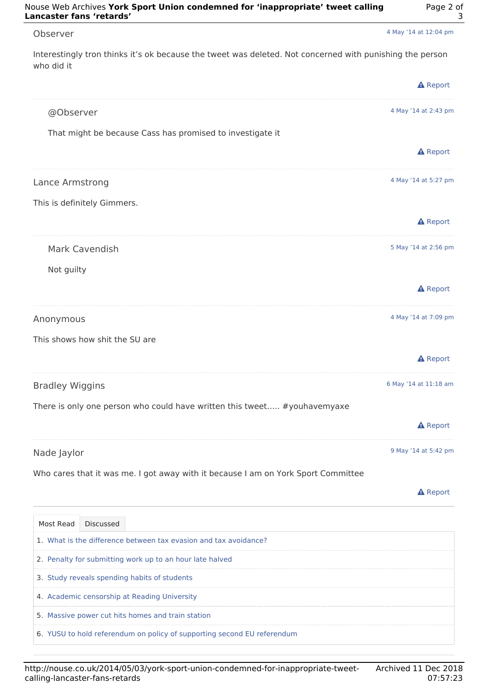| Observer                                                                                                               | 4 May '14 at 12:04 pm |  |  |  |
|------------------------------------------------------------------------------------------------------------------------|-----------------------|--|--|--|
| Interestingly tron thinks it's ok because the tweet was deleted. Not concerned with punishing the person<br>who did it |                       |  |  |  |
|                                                                                                                        | <b>A</b> Report       |  |  |  |
| @Observer                                                                                                              | 4 May '14 at 2:43 pm  |  |  |  |
| That might be because Cass has promised to investigate it                                                              |                       |  |  |  |
|                                                                                                                        | <b>A</b> Report       |  |  |  |
| Lance Armstrong                                                                                                        | 4 May '14 at 5:27 pm  |  |  |  |
| This is definitely Gimmers.                                                                                            |                       |  |  |  |
|                                                                                                                        | <b>A</b> Report       |  |  |  |
| Mark Cavendish                                                                                                         | 5 May '14 at 2:56 pm  |  |  |  |
| Not guilty                                                                                                             |                       |  |  |  |
|                                                                                                                        | <b>A</b> Report       |  |  |  |
| Anonymous                                                                                                              | 4 May '14 at 7:09 pm  |  |  |  |
| This shows how shit the SU are                                                                                         |                       |  |  |  |
|                                                                                                                        | <b>A</b> Report       |  |  |  |
| <b>Bradley Wiggins</b>                                                                                                 | 6 May '14 at 11:18 am |  |  |  |
| There is only one person who could have written this tweet #youhavemyaxe                                               |                       |  |  |  |
|                                                                                                                        | <b>A</b> Report       |  |  |  |
| Nade Jaylor                                                                                                            | 9 May '14 at 5:42 pm  |  |  |  |
| Who cares that it was me. I got away with it because I am on York Sport Committee                                      |                       |  |  |  |



| Most Read                                                | <b>Discussed</b>                                                        |  |  |  |  |
|----------------------------------------------------------|-------------------------------------------------------------------------|--|--|--|--|
|                                                          | 1. What is the difference between tax evasion and tax avoidance?        |  |  |  |  |
| 2. Penalty for submitting work up to an hour late halved |                                                                         |  |  |  |  |
| 3. Study reveals spending habits of students             |                                                                         |  |  |  |  |
| 4. Academic censorship at Reading University             |                                                                         |  |  |  |  |
|                                                          | 5. Massive power cut hits homes and train station                       |  |  |  |  |
|                                                          | 6. YUSU to hold referendum on policy of supporting second EU referendum |  |  |  |  |